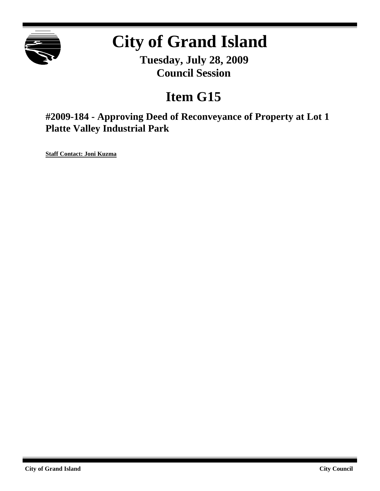

# **City of Grand Island**

**Tuesday, July 28, 2009 Council Session**

## **Item G15**

**#2009-184 - Approving Deed of Reconveyance of Property at Lot 1 Platte Valley Industrial Park**

**Staff Contact: Joni Kuzma**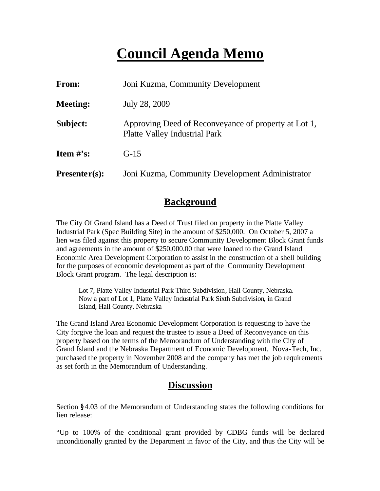### **Council Agenda Memo**

| From:           | Joni Kuzma, Community Development                                                            |  |
|-----------------|----------------------------------------------------------------------------------------------|--|
| <b>Meeting:</b> | July 28, 2009                                                                                |  |
| Subject:        | Approving Deed of Reconveyance of property at Lot 1,<br><b>Platte Valley Industrial Park</b> |  |
| Item $\#$ 's:   | $G-15$                                                                                       |  |
| $Presenter(s):$ | Joni Kuzma, Community Development Administrator                                              |  |

#### **Background**

The City Of Grand Island has a Deed of Trust filed on property in the Platte Valley Industrial Park (Spec Building Site) in the amount of \$250,000. On October 5, 2007 a lien was filed against this property to secure Community Development Block Grant funds and agreements in the amount of \$250,000.00 that were loaned to the Grand Island Economic Area Development Corporation to assist in the construction of a shell building for the purposes of economic development as part of the Community Development Block Grant program. The legal description is:

Lot 7, Platte Valley Industrial Park Third Subdivision, Hall County, Nebraska. Now a part of Lot 1, Platte Valley Industrial Park Sixth Subdivision, in Grand Island, Hall County, Nebraska

The Grand Island Area Economic Development Corporation is requesting to have the City forgive the loan and request the trustee to issue a Deed of Reconveyance on this property based on the terms of the Memorandum of Understanding with the City of Grand Island and the Nebraska Department of Economic Development. Nova-Tech, Inc. purchased the property in November 2008 and the company has met the job requirements as set forth in the Memorandum of Understanding.

#### **Discussion**

Section **§**4.03 of the Memorandum of Understanding states the following conditions for lien release:

"Up to 100% of the conditional grant provided by CDBG funds will be declared unconditionally granted by the Department in favor of the City, and thus the City will be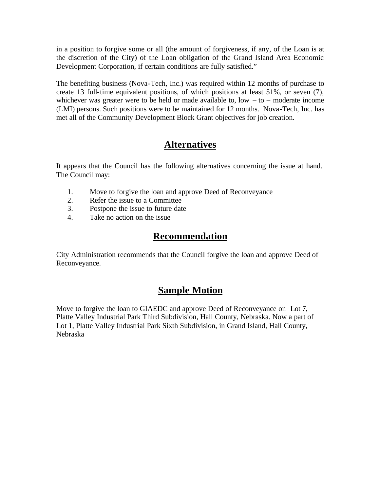in a position to forgive some or all (the amount of forgiveness, if any, of the Loan is at the discretion of the City) of the Loan obligation of the Grand Island Area Economic Development Corporation, if certain conditions are fully satisfied."

The benefiting business (Nova-Tech, Inc.) was required within 12 months of purchase to create 13 full-time equivalent positions, of which positions at least 51%, or seven (7), whichever was greater were to be held or made available to,  $low - to - moderate income$ (LMI) persons. Such positions were to be maintained for 12 months. Nova-Tech, Inc. has met all of the Community Development Block Grant objectives for job creation.

#### **Alternatives**

It appears that the Council has the following alternatives concerning the issue at hand. The Council may:

- 1. Move to forgive the loan and approve Deed of Reconveyance
- 2. Refer the issue to a Committee
- 3. Postpone the issue to future date
- 4. Take no action on the issue

#### **Recommendation**

City Administration recommends that the Council forgive the loan and approve Deed of Reconveyance.

### **Sample Motion**

Move to forgive the loan to GIAEDC and approve Deed of Reconveyance on Lot 7, Platte Valley Industrial Park Third Subdivision, Hall County, Nebraska. Now a part of Lot 1, Platte Valley Industrial Park Sixth Subdivision, in Grand Island, Hall County, Nebraska